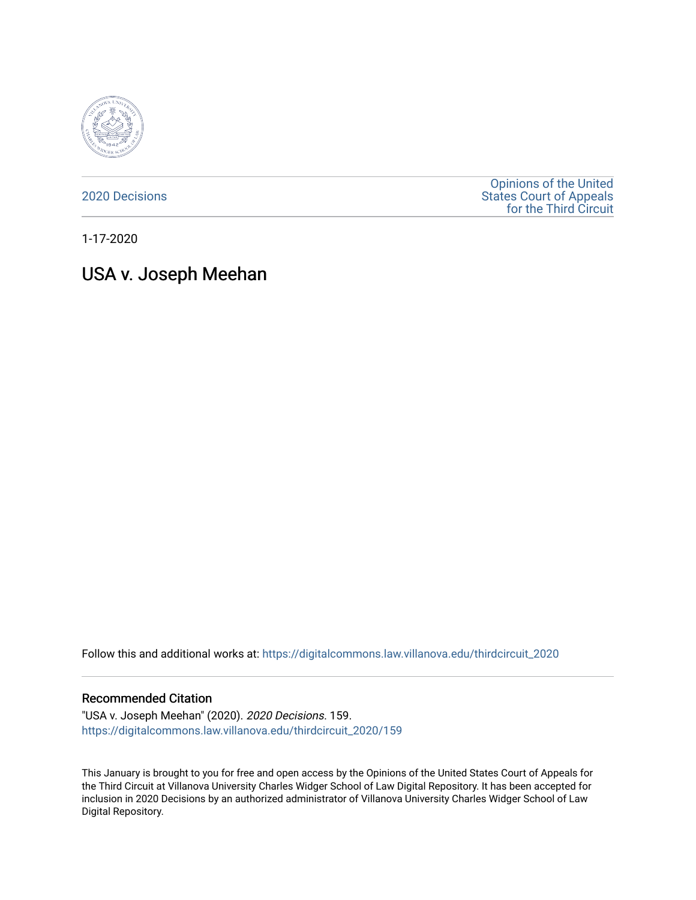

[2020 Decisions](https://digitalcommons.law.villanova.edu/thirdcircuit_2020)

[Opinions of the United](https://digitalcommons.law.villanova.edu/thirdcircuit)  [States Court of Appeals](https://digitalcommons.law.villanova.edu/thirdcircuit)  [for the Third Circuit](https://digitalcommons.law.villanova.edu/thirdcircuit) 

1-17-2020

# USA v. Joseph Meehan

Follow this and additional works at: [https://digitalcommons.law.villanova.edu/thirdcircuit\\_2020](https://digitalcommons.law.villanova.edu/thirdcircuit_2020?utm_source=digitalcommons.law.villanova.edu%2Fthirdcircuit_2020%2F159&utm_medium=PDF&utm_campaign=PDFCoverPages) 

#### Recommended Citation

"USA v. Joseph Meehan" (2020). 2020 Decisions. 159. [https://digitalcommons.law.villanova.edu/thirdcircuit\\_2020/159](https://digitalcommons.law.villanova.edu/thirdcircuit_2020/159?utm_source=digitalcommons.law.villanova.edu%2Fthirdcircuit_2020%2F159&utm_medium=PDF&utm_campaign=PDFCoverPages)

This January is brought to you for free and open access by the Opinions of the United States Court of Appeals for the Third Circuit at Villanova University Charles Widger School of Law Digital Repository. It has been accepted for inclusion in 2020 Decisions by an authorized administrator of Villanova University Charles Widger School of Law Digital Repository.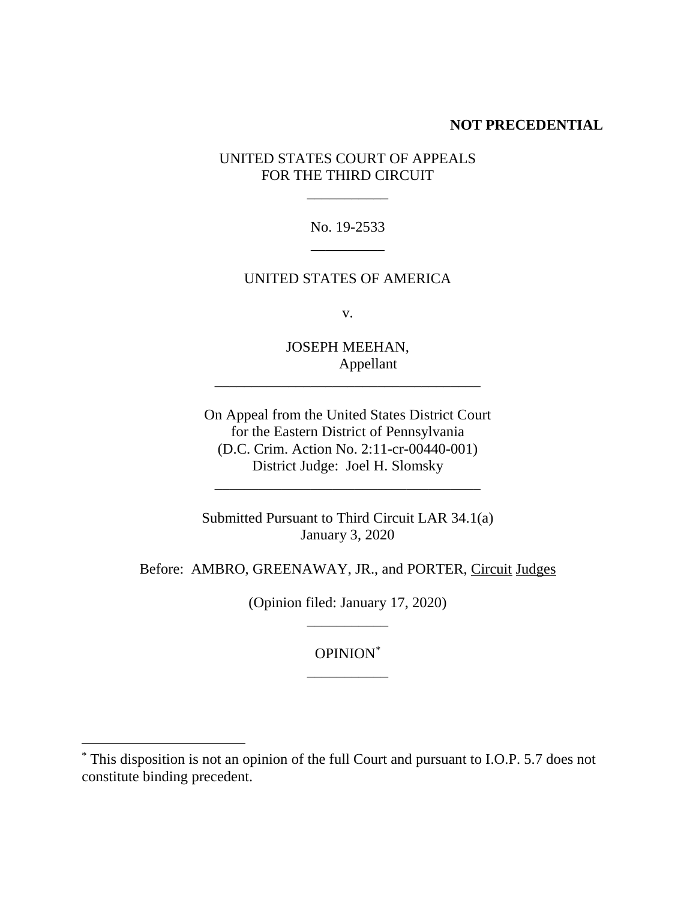## **NOT PRECEDENTIAL**

## UNITED STATES COURT OF APPEALS FOR THE THIRD CIRCUIT

\_\_\_\_\_\_\_\_\_\_\_

No. 19-2533 \_\_\_\_\_\_\_\_\_\_

## UNITED STATES OF AMERICA

v.

JOSEPH MEEHAN, Appellant \_\_\_\_\_\_\_\_\_\_\_\_\_\_\_\_\_\_\_\_\_\_\_\_\_\_\_\_\_\_\_\_\_\_\_\_

On Appeal from the United States District Court for the Eastern District of Pennsylvania (D.C. Crim. Action No. 2:11-cr-00440-001) District Judge: Joel H. Slomsky

Submitted Pursuant to Third Circuit LAR 34.1(a) January 3, 2020

\_\_\_\_\_\_\_\_\_\_\_\_\_\_\_\_\_\_\_\_\_\_\_\_\_\_\_\_\_\_\_\_\_\_\_\_

Before: AMBRO, GREENAWAY, JR., and PORTER, Circuit Judges

(Opinion filed: January 17, 2020) \_\_\_\_\_\_\_\_\_\_\_

> OPINION\* \_\_\_\_\_\_\_\_\_\_\_

<sup>\*</sup> This disposition is not an opinion of the full Court and pursuant to I.O.P. 5.7 does not constitute binding precedent.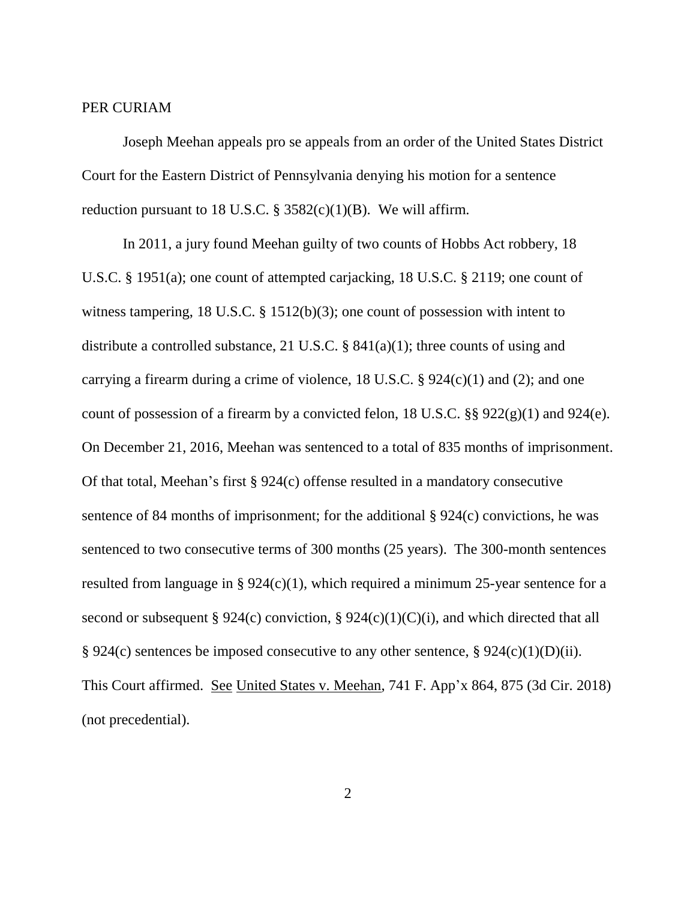## PER CURIAM

Joseph Meehan appeals pro se appeals from an order of the United States District Court for the Eastern District of Pennsylvania denying his motion for a sentence reduction pursuant to 18 U.S.C.  $\S$  3582(c)(1)(B). We will affirm.

In 2011, a jury found Meehan guilty of two counts of Hobbs Act robbery, 18 U.S.C. § 1951(a); one count of attempted carjacking, 18 U.S.C. § 2119; one count of witness tampering, 18 U.S.C. § 1512(b)(3); one count of possession with intent to distribute a controlled substance, 21 U.S.C. §  $841(a)(1)$ ; three counts of using and carrying a firearm during a crime of violence, 18 U.S.C.  $\S$  924(c)(1) and (2); and one count of possession of a firearm by a convicted felon, 18 U.S.C. §§ 922(g)(1) and 924(e). On December 21, 2016, Meehan was sentenced to a total of 835 months of imprisonment. Of that total, Meehan's first § 924(c) offense resulted in a mandatory consecutive sentence of 84 months of imprisonment; for the additional § 924(c) convictions, he was sentenced to two consecutive terms of 300 months (25 years). The 300-month sentences resulted from language in §  $924(c)(1)$ , which required a minimum 25-year sentence for a second or subsequent § 924(c) conviction, § 924(c)(1)(C)(i), and which directed that all § 924(c) sentences be imposed consecutive to any other sentence, § 924(c)(1)(D)(ii). This Court affirmed. See United States v. Meehan, 741 F. App'x 864, 875 (3d Cir. 2018) (not precedential).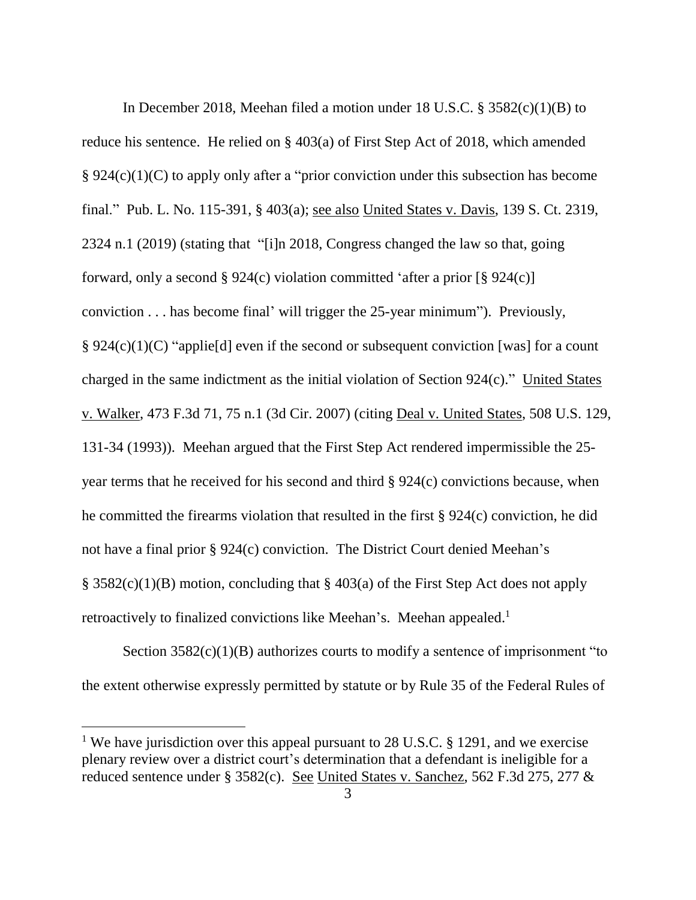In December 2018, Meehan filed a motion under 18 U.S.C. § 3582(c)(1)(B) to reduce his sentence. He relied on § 403(a) of First Step Act of 2018, which amended § 924(c)(1)(C) to apply only after a "prior conviction under this subsection has become final." Pub. L. No. 115-391, § 403(a); see also United States v. Davis, 139 S. Ct. 2319, 2324 n.1 (2019) (stating that "[i]n 2018, Congress changed the law so that, going forward, only a second § 924(c) violation committed 'after a prior  $\lceil \frac{8}{5} \cdot 924(c) \rceil$ conviction . . . has become final' will trigger the 25-year minimum"). Previously, § 924(c)(1)(C) "applie[d] even if the second or subsequent conviction [was] for a count charged in the same indictment as the initial violation of Section 924(c)." United States v. Walker, 473 F.3d 71, 75 n.1 (3d Cir. 2007) (citing Deal v. United States, 508 U.S. 129, 131-34 (1993)). Meehan argued that the First Step Act rendered impermissible the 25 year terms that he received for his second and third § 924(c) convictions because, when he committed the firearms violation that resulted in the first § 924(c) conviction, he did not have a final prior § 924(c) conviction. The District Court denied Meehan's § 3582(c)(1)(B) motion, concluding that § 403(a) of the First Step Act does not apply retroactively to finalized convictions like Meehan's. Meehan appealed.<sup>1</sup>

Section  $3582(c)(1)(B)$  authorizes courts to modify a sentence of imprisonment "to the extent otherwise expressly permitted by statute or by Rule 35 of the Federal Rules of

<sup>&</sup>lt;sup>1</sup> We have jurisdiction over this appeal pursuant to 28 U.S.C. § 1291, and we exercise plenary review over a district court's determination that a defendant is ineligible for a reduced sentence under § 3582(c). See United States v. Sanchez, 562 F.3d 275, 277 &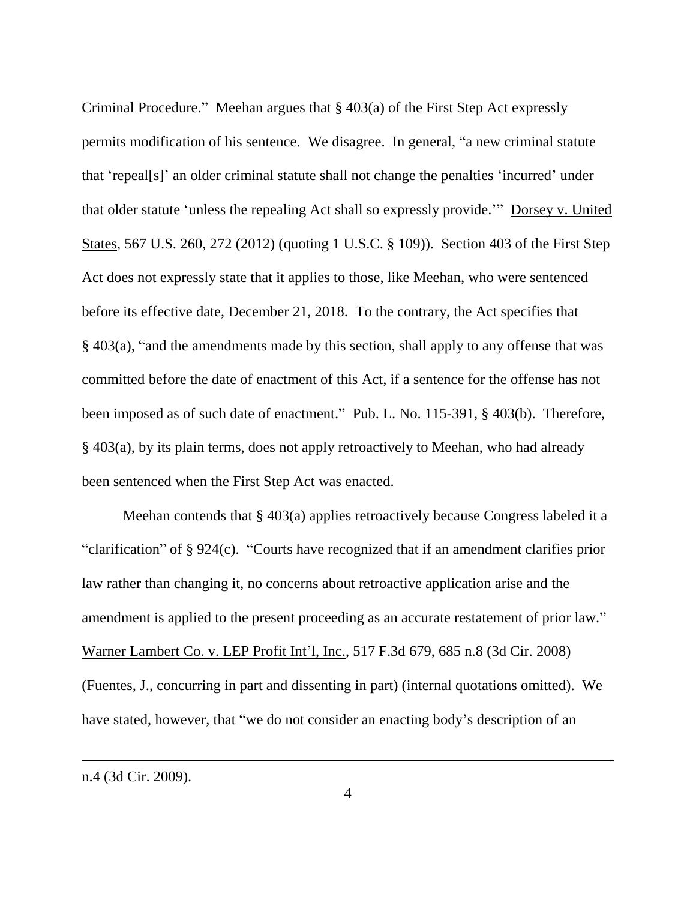Criminal Procedure." Meehan argues that § 403(a) of the First Step Act expressly permits modification of his sentence. We disagree. In general, "a new criminal statute that 'repeal[s]' an older criminal statute shall not change the penalties 'incurred' under that older statute 'unless the repealing Act shall so expressly provide.'" Dorsey v. United States, 567 U.S. 260, 272 (2012) (quoting 1 U.S.C. § 109)). Section 403 of the First Step Act does not expressly state that it applies to those, like Meehan, who were sentenced before its effective date, December 21, 2018. To the contrary, the Act specifies that § 403(a), "and the amendments made by this section, shall apply to any offense that was committed before the date of enactment of this Act, if a sentence for the offense has not been imposed as of such date of enactment." Pub. L. No. 115-391, § 403(b). Therefore, § 403(a), by its plain terms, does not apply retroactively to Meehan, who had already been sentenced when the First Step Act was enacted.

Meehan contends that § 403(a) applies retroactively because Congress labeled it a "clarification" of § 924(c). "Courts have recognized that if an amendment clarifies prior law rather than changing it, no concerns about retroactive application arise and the amendment is applied to the present proceeding as an accurate restatement of prior law." Warner Lambert Co. v. LEP Profit Int'l, Inc., 517 F.3d 679, 685 n.8 (3d Cir. 2008) (Fuentes, J., concurring in part and dissenting in part) (internal quotations omitted). We have stated, however, that "we do not consider an enacting body's description of an

n.4 (3d Cir. 2009).

 $\overline{a}$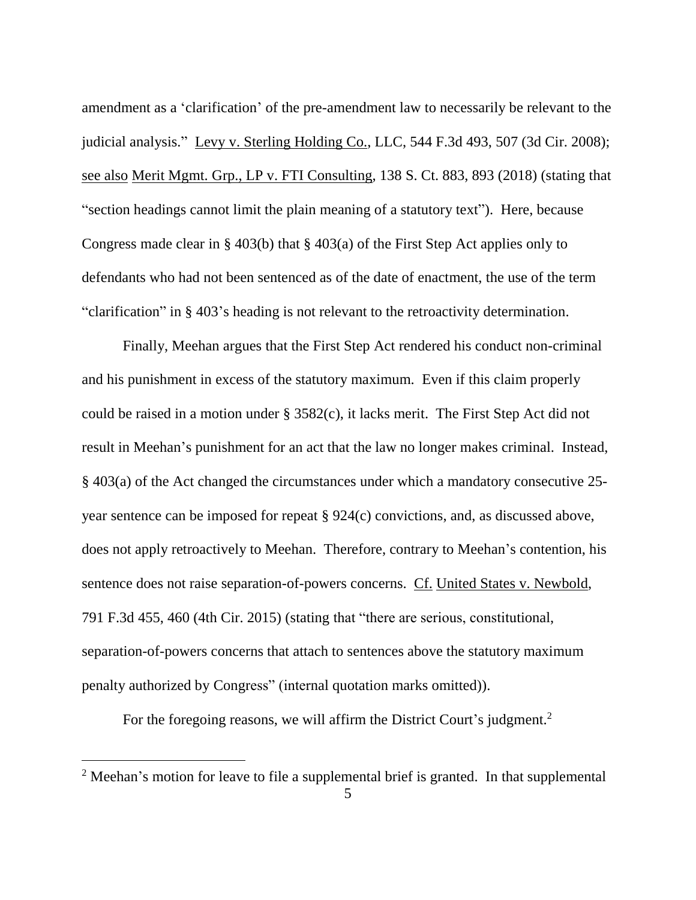amendment as a 'clarification' of the pre-amendment law to necessarily be relevant to the judicial analysis." Levy v. Sterling Holding Co., LLC, 544 F.3d 493, 507 (3d Cir. 2008); see also Merit Mgmt. Grp., LP v. FTI Consulting, 138 S. Ct. 883, 893 (2018) (stating that "section headings cannot limit the plain meaning of a statutory text"). Here, because Congress made clear in § 403(b) that § 403(a) of the First Step Act applies only to defendants who had not been sentenced as of the date of enactment, the use of the term "clarification" in § 403's heading is not relevant to the retroactivity determination.

Finally, Meehan argues that the First Step Act rendered his conduct non-criminal and his punishment in excess of the statutory maximum. Even if this claim properly could be raised in a motion under § 3582(c), it lacks merit. The First Step Act did not result in Meehan's punishment for an act that the law no longer makes criminal. Instead, § 403(a) of the Act changed the circumstances under which a mandatory consecutive 25 year sentence can be imposed for repeat § 924(c) convictions, and, as discussed above, does not apply retroactively to Meehan. Therefore, contrary to Meehan's contention, his sentence does not raise separation-of-powers concerns. Cf. United States v. Newbold, 791 F.3d 455, 460 (4th Cir. 2015) (stating that "there are serious, constitutional, separation-of-powers concerns that attach to sentences above the statutory maximum penalty authorized by Congress" (internal quotation marks omitted)).

For the foregoing reasons, we will affirm the District Court's judgment.<sup>2</sup>

 $\overline{a}$ 

<sup>&</sup>lt;sup>2</sup> Meehan's motion for leave to file a supplemental brief is granted. In that supplemental